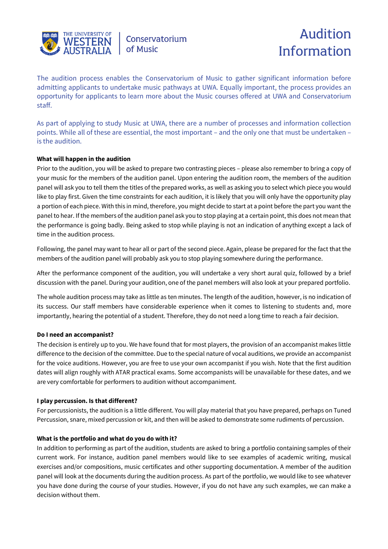

Conservatorium of Music

# Audition Information

The audition process enables the Conservatorium of Music to gather significant information before admitting applicants to undertake music pathways at UWA. Equally important, the process provides an opportunity for applicants to learn more about the Music courses offered at UWA and Conservatorium staff.

As part of applying to study Music at UWA, there are a number of processes and information collection points. While all of these are essential, the most important – and the only one that must be undertaken – is the audition.

# **What will happen in the audition**

Prior to the audition, you will be asked to prepare two contrasting pieces – please also remember to bring a copy of your music for the members of the audition panel. Upon entering the audition room, the members of the audition panel will ask you to tell them the titles of the prepared works, as well as asking you to select which piece you would like to play first. Given the time constraints for each audition, it is likely that you will only have the opportunity play a portion of each piece. With this in mind, therefore, you might decide to start at a point before the part you want the panel to hear. If the members of the audition panel ask you to stop playing at a certain point, this does not mean that the performance is going badly. Being asked to stop while playing is not an indication of anything except a lack of time in the audition process.

Following, the panel may want to hear all or part of the second piece. Again, please be prepared for the fact that the members of the audition panel will probably ask you to stop playing somewhere during the performance.

After the performance component of the audition, you will undertake a very short aural quiz, followed by a brief discussion with the panel. During your audition, one of the panel members will also look at your prepared portfolio.

The whole audition process may take as little as ten minutes. The length of the audition, however, is no indication of its success. Our staff members have considerable experience when it comes to listening to students and, more importantly, hearing the potential of a student. Therefore, they do not need a long time to reach a fair decision.

# **Do I need an accompanist?**

The decision is entirely up to you. We have found that for most players, the provision of an accompanist makes little difference to the decision of the committee. Due to the special nature of vocal auditions, we provide an accompanist for the voice auditions. However, you are free to use your own accompanist if you wish. Note that the first audition dates will align roughly with ATAR practical exams. Some accompanists will be unavailable for these dates, and we are very comfortable for performers to audition without accompaniment.

# **I play percussion. Is that different?**

For percussionists, the audition is a little different. You will play material that you have prepared, perhaps on Tuned Percussion, snare, mixed percussion or kit, and then will be asked to demonstrate some rudiments of percussion.

# **What is the portfolio and what do you do with it?**

In addition to performing as part of the audition, students are asked to bring a portfolio containing samples of their current work. For instance, audition panel members would like to see examples of academic writing, musical exercises and/or compositions, music certificates and other supporting documentation. A member of the audition panel will look at the documents during the audition process. As part of the portfolio, we would like to see whatever you have done during the course of your studies. However, if you do not have any such examples, we can make a decision without them.